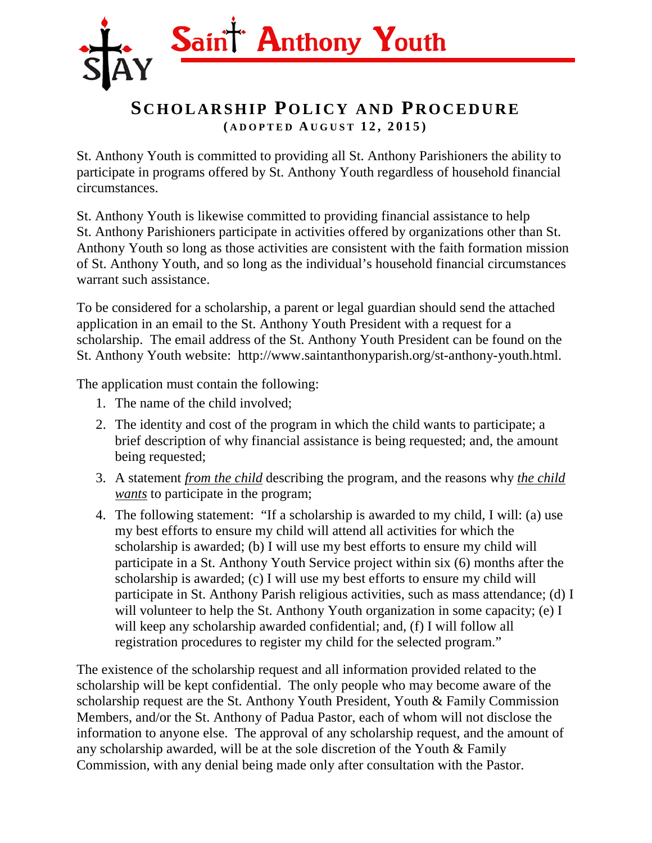

## **SCHOLARSHIP POLICY AND PROCEDURE ( ADOPTED A UGUST 1 2 , 2015)**

St. Anthony Youth is committed to providing all St. Anthony Parishioners the ability to participate in programs offered by St. Anthony Youth regardless of household financial circumstances.

St. Anthony Youth is likewise committed to providing financial assistance to help St. Anthony Parishioners participate in activities offered by organizations other than St. Anthony Youth so long as those activities are consistent with the faith formation mission of St. Anthony Youth, and so long as the individual's household financial circumstances warrant such assistance.

To be considered for a scholarship, a parent or legal guardian should send the attached application in an email to the St. Anthony Youth President with a request for a scholarship. The email address of the St. Anthony Youth President can be found on the St. Anthony Youth website: http://www.saintanthonyparish.org/st-anthony-youth.html.

The application must contain the following:

- 1. The name of the child involved;
- 2. The identity and cost of the program in which the child wants to participate; a brief description of why financial assistance is being requested; and, the amount being requested;
- 3. A statement *from the child* describing the program, and the reasons why *the child wants* to participate in the program;
- 4. The following statement: "If a scholarship is awarded to my child, I will: (a) use my best efforts to ensure my child will attend all activities for which the scholarship is awarded; (b) I will use my best efforts to ensure my child will participate in a St. Anthony Youth Service project within six (6) months after the scholarship is awarded; (c) I will use my best efforts to ensure my child will participate in St. Anthony Parish religious activities, such as mass attendance; (d) I will volunteer to help the St. Anthony Youth organization in some capacity; (e) I will keep any scholarship awarded confidential; and, (f) I will follow all registration procedures to register my child for the selected program."

The existence of the scholarship request and all information provided related to the scholarship will be kept confidential. The only people who may become aware of the scholarship request are the St. Anthony Youth President, Youth & Family Commission Members, and/or the St. Anthony of Padua Pastor, each of whom will not disclose the information to anyone else. The approval of any scholarship request, and the amount of any scholarship awarded, will be at the sole discretion of the Youth & Family Commission, with any denial being made only after consultation with the Pastor.